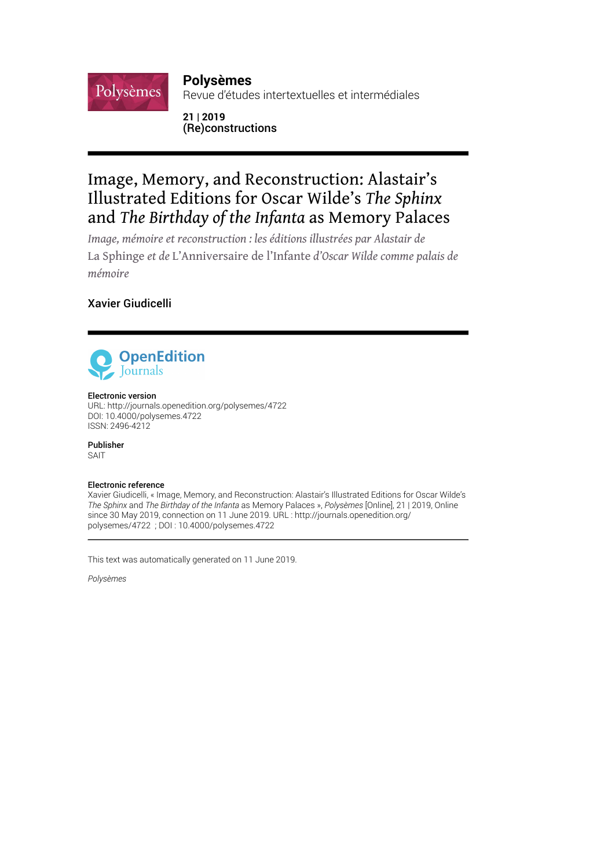## **Polysèmes**

Revue d'études intertextuelles et intermédiales

## **21 | 2019** (Re)constructions

# Image, Memory, and Reconstruction: Alastair's Illustrated Editions for Oscar Wilde's *The Sphinx* and *The Birthday of the Infanta* as Memory Palaces

*Image, mémoire et reconstruction : les éditions illustrées par Alastair de*  La Sphinge *et de* L'Anniversaire de l'Infante *d'Oscar Wilde comme palais de mémoire*

## Xavier Giudicelli

Polysèmes



#### Electronic version

URL:<http://journals.openedition.org/polysemes/4722> DOI: 10.4000/polysemes.4722 ISSN: 2496-4212

Publisher SAIT

#### Electronic reference

Xavier Giudicelli, « Image, Memory, and Reconstruction: Alastair's Illustrated Editions for Oscar Wilde's *The Sphinx* and *The Birthday of the Infanta* as Memory Palaces », *Polysèmes* [Online], 21 | 2019, Online since 30 May 2019, connection on 11 June 2019. URL : http://journals.openedition.org/ polysemes/4722 ; DOI : 10.4000/polysemes.4722

This text was automatically generated on 11 June 2019.

*Polysèmes*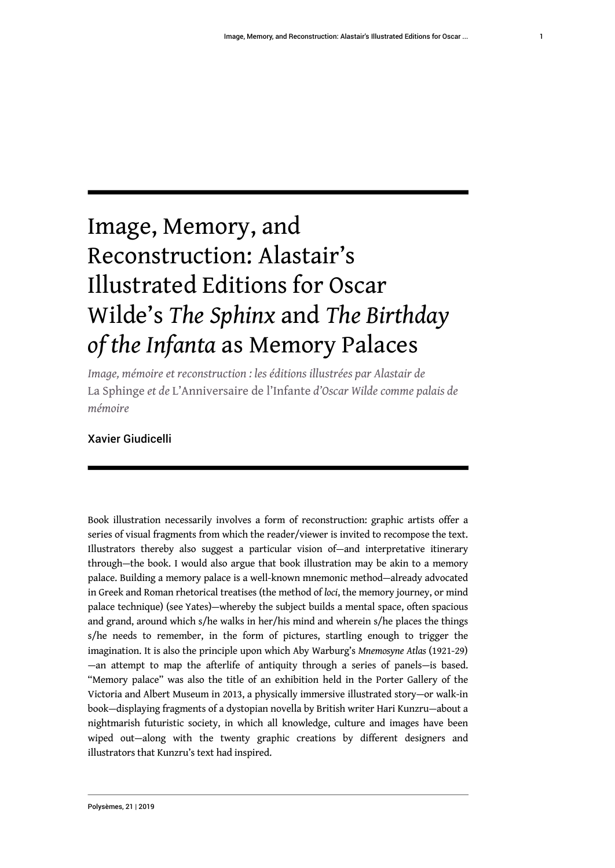1

# Image, Memory, and Reconstruction: Alastair's Illustrated Editions for Oscar Wilde's *The Sphinx* and *The Birthday of the Infanta* as Memory Palaces

*Image, mémoire et reconstruction : les éditions illustrées par Alastair de*  La Sphinge *et de* L'Anniversaire de l'Infante *d'Oscar Wilde comme palais de mémoire*

## Xavier Giudicelli

Book illustration necessarily involves a form of reconstruction: graphic artists offer a series of visual fragments from which the reader/viewer is invited to recompose the text. Illustrators thereby also suggest a particular vision of—and interpretative itinerary through—the book. I would also argue that book illustration may be akin to a memory palace. Building a memory palace is a well-known mnemonic method—already advocated in Greek and Roman rhetorical treatises (the method of *loci*, the memory journey, or mind palace technique) (see Yates)—whereby the subject builds a mental space, often spacious and grand, around which s/he walks in her/his mind and wherein s/he places the things s/he needs to remember, in the form of pictures, startling enough to trigger the imagination. It is also the principle upon which Aby Warburg's *Mnemosyne Atlas* (1921-29) —an attempt to map the afterlife of antiquity through a series of panels—is based. "Memory palace" was also the title of an exhibition held in the Porter Gallery of the Victoria and Albert Museum in 2013, a physically immersive illustrated story—or walk-in book—displaying fragments of a dystopian novella by British writer Hari Kunzru—about a nightmarish futuristic society, in which all knowledge, culture and images have been wiped out—along with the twenty graphic creations by different designers and illustrators that Kunzru's text had inspired.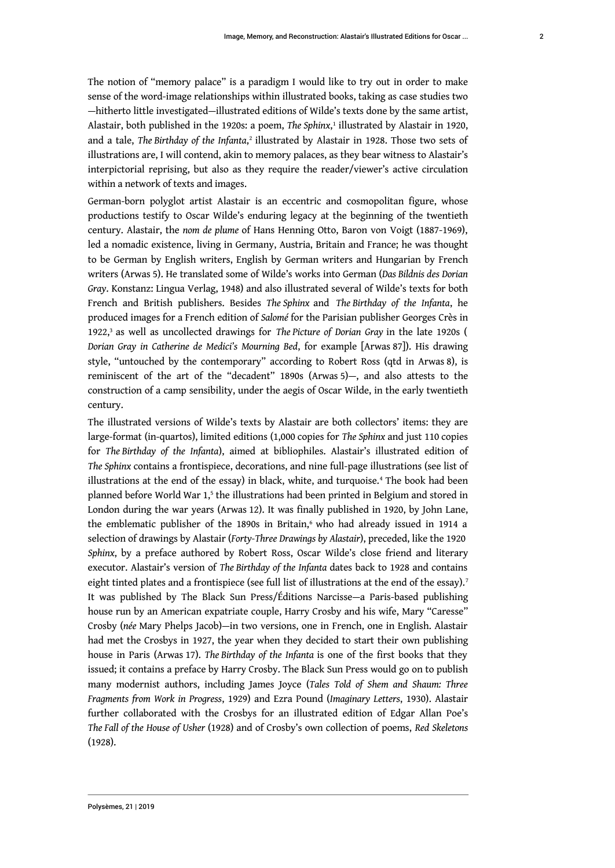<span id="page-2-1"></span><span id="page-2-0"></span>The notion of "memory palace" is a paradigm I would like to try out in order to make sense of the word-image relationships within illustrated books, taking as case studies two —hitherto little investigated—illustrated editions of Wilde's texts done by the same artist, Alastair, both published in the 1920s: a poem, *The Sphinx*, [1](#page-17-0) illustrated by Alastair in 1920, and a tale, *The* Birthday of the Infanta,<sup>[2](#page-17-1)</sup> illustrated by Alastair in 1928. Those two sets of illustrations are, I will contend, akin to memory palaces, as they bear witness to Alastair's interpictorial reprising, but also as they require the reader/viewer's active circulation within a network of texts and images.

German-born polyglot artist Alastair is an eccentric and cosmopolitan figure, whose productions testify to Oscar Wilde's enduring legacy at the beginning of the twentieth century. Alastair, the *nom de plume* of Hans Henning Otto, Baron von Voigt (1887-1969), led a nomadic existence, living in Germany, Austria, Britain and France; he was thought to be German by English writers, English by German writers and Hungarian by French writers (Arwas 5). He translated some of Wilde's works into German (*Das Bildnis des Dorian Gray*. Konstanz: Lingua Verlag, 1948) and also illustrated several of Wilde's texts for both French and British publishers. Besides *The Sphinx* and *The Birthday of the Infanta*, he produced images for a French edition of *Salomé* for the Parisian publisher Georges Crès in 1922,<sup>[3](#page-17-2)</sup> as well as uncollected drawings for *The Picture of Dorian Gray* in the late 1920s ( *Dorian Gray in Catherine de Medici's Mourning Bed*, for example [Arwas 87]). His drawing style, "untouched by the contemporary" according to Robert Ross (qtd in Arwas 8), is reminiscent of the art of the "decadent" 1890s (Arwas 5)—, and also attests to the construction of a camp sensibility, under the aegis of Oscar Wilde, in the early twentieth century.

<span id="page-2-6"></span><span id="page-2-5"></span><span id="page-2-4"></span><span id="page-2-3"></span><span id="page-2-2"></span>The illustrated versions of Wilde's texts by Alastair are both collectors' items: they are large-format (in-quartos), limited editions (1,000 copies for *The Sphinx* and just 110 copies for *The Birthday of the Infanta*), aimed at bibliophiles. Alastair's illustrated edition of *The Sphinx* contains a frontispiece, decorations, and nine full-page illustrations (see list of illustrations at the end of the essay) in black, white, and turquoise.[4](#page-17-3) The book had been planned before World War 1,<sup>[5](#page-17-4)</sup> the illustrations had been printed in Belgium and stored in London during the war years (Arwas 12). It was finally published in 1920, by John Lane, the emblematic publisher of the 1890s in Britain,<sup>[6](#page-17-5)</sup> who had already issued in 1914 a selection of drawings by Alastair (*Forty-Three Drawings by Alastair*), preceded, like the 1920 *Sphinx*, by a preface authored by Robert Ross, Oscar Wilde's close friend and literary executor. Alastair's version of *The Birthday of the Infanta* dates back to 1928 and contains eight tinted plates and a frontispiece (see full list of illustrations at the end of the essay).<sup>[7](#page-17-6)</sup> It was published by The Black Sun Press/Éditions Narcisse—a Paris-based publishing house run by an American expatriate couple, Harry Crosby and his wife, Mary "Caresse" Crosby (*née* Mary Phelps Jacob)—in two versions, one in French, one in English. Alastair had met the Crosbys in 1927, the year when they decided to start their own publishing house in Paris (Arwas 17). *The Birthday of the Infanta* is one of the first books that they issued; it contains a preface by Harry Crosby. The Black Sun Press would go on to publish many modernist authors, including James Joyce (*Tales Told of Shem and Shaum: Three Fragments from Work in Progress*, 1929) and Ezra Pound (*Imaginary Letters*, 1930). Alastair further collaborated with the Crosbys for an illustrated edition of Edgar Allan Poe's *The Fall of the House of Usher* (1928) and of Crosby's own collection of poems, *Red Skeletons* (1928).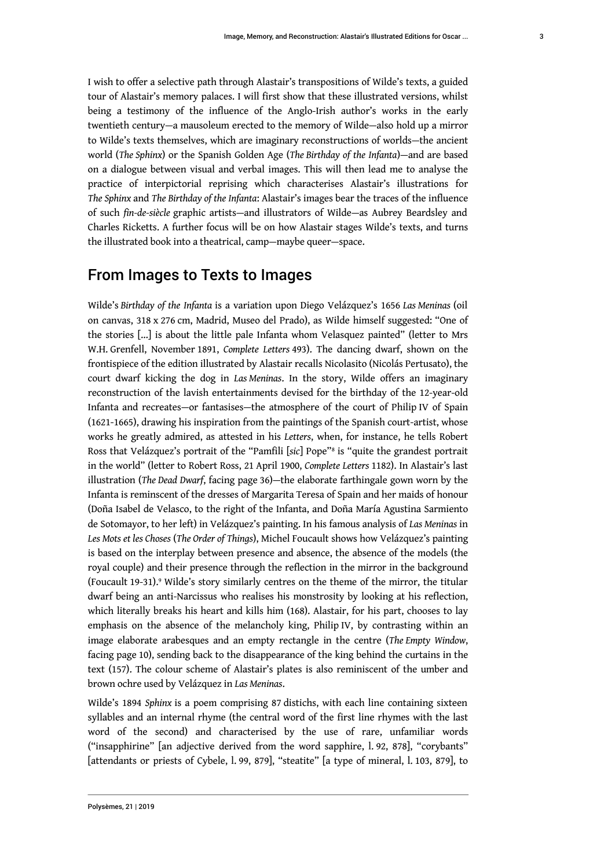I wish to offer a selective path through Alastair's transpositions of Wilde's texts, a guided tour of Alastair's memory palaces. I will first show that these illustrated versions, whilst being a testimony of the influence of the Anglo-Irish author's works in the early twentieth century—a mausoleum erected to the memory of Wilde—also hold up a mirror to Wilde's texts themselves, which are imaginary reconstructions of worlds—the ancient world (*The Sphinx*) or the Spanish Golden Age (*The Birthday of the Infanta*)—and are based on a dialogue between visual and verbal images. This will then lead me to analyse the practice of interpictorial reprising which characterises Alastair's illustrations for *The Sphinx* and *The Birthday of the Infanta*: Alastair's images bear the traces of the influence of such *fin-de-siècle* graphic artists—and illustrators of Wilde—as Aubrey Beardsley and Charles Ricketts. A further focus will be on how Alastair stages Wilde's texts, and turns the illustrated book into a theatrical, camp—maybe queer—space.

## From Images to Texts to Images

<span id="page-3-0"></span>Wilde's *Birthday of the Infanta* is a variation upon Diego Velázquez's 1656 *Las Meninas* (oil on canvas, 318 x 276 cm, Madrid, Museo del Prado), as Wilde himself suggested: "One of the stories [...] is about the little pale Infanta whom Velasquez painted" (letter to Mrs W.H. Grenfell, November 1891, *Complete Letters* 493). The dancing dwarf, shown on the frontispiece of the edition illustrated by Alastair recalls Nicolasito (Nicolás Pertusato), the court dwarf kicking the dog in *Las Meninas*. In the story, Wilde offers an imaginary reconstruction of the lavish entertainments devised for the birthday of the 12-year-old Infanta and recreates—or fantasises—the atmosphere of the court of Philip IV of Spain (1621-1665), drawing his inspiration from the paintings of the Spanish court-artist, whose works he greatly admired, as attested in his *Letters*, when, for instance, he tells Robert Ross that Velázquez's portrait of the "Pamfili [*sic*] Pope"[8](#page-17-7) is "quite the grandest portrait in the world" (letter to Robert Ross, 21 April 1900, *Complete Letters* 1182). In Alastair's last illustration (*The Dead Dwarf*, facing page 36)—the elaborate farthingale gown worn by the Infanta is reminscent of the dresses of Margarita Teresa of Spain and her maids of honour (Doña Isabel de Velasco, to the right of the Infanta, and Doña María Agustina Sarmiento de Sotomayor, to her left) in Velázquez's painting. In his famous analysis of *Las Meninas* in *Les Mots et les Choses* (*The Order of Things*), Michel Foucault shows how Velázquez's painting is based on the interplay between presence and absence, the absence of the models (the royal couple) and their presence through the reflection in the mirror in the background (Foucault 19-31).[9](#page-18-0) Wilde's story similarly centres on the theme of the mirror, the titular dwarf being an anti-Narcissus who realises his monstrosity by looking at his reflection, which literally breaks his heart and kills him (168). Alastair, for his part, chooses to lay emphasis on the absence of the melancholy king, Philip IV, by contrasting within an image elaborate arabesques and an empty rectangle in the centre (*The Empty Window*, facing page 10), sending back to the disappearance of the king behind the curtains in the text (157). The colour scheme of Alastair's plates is also reminiscent of the umber and brown ochre used by Velázquez in *Las Meninas*.

<span id="page-3-1"></span>Wilde's 1894 *Sphinx* is a poem comprising 87 distichs, with each line containing sixteen syllables and an internal rhyme (the central word of the first line rhymes with the last word of the second) and characterised by the use of rare, unfamiliar words ("insapphirine" [an adjective derived from the word sapphire, l. 92, 878], "corybants" [attendants or priests of Cybele, l. 99, 879], "steatite" [a type of mineral, l. 103, 879], to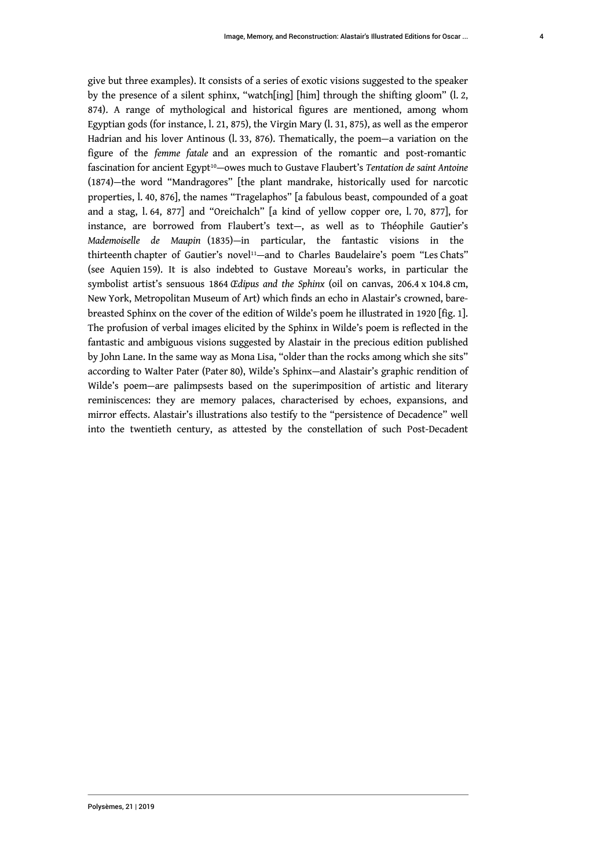<span id="page-4-1"></span><span id="page-4-0"></span>give but three examples). It consists of a series of exotic visions suggested to the speaker by the presence of a silent sphinx, "watch[ing] [him] through the shifting gloom" (l. 2, 874). A range of mythological and historical figures are mentioned, among whom Egyptian gods (for instance, l. 21, 875), the Virgin Mary (l. 31, 875), as well as the emperor Hadrian and his lover Antinous (l. 33, 876). Thematically, the poem—a variation on the figure of the *femme fatale* and an expression of the romantic and post-romantic fascination for ancient Egypt[10](#page-18-1)—owes much to Gustave Flaubert's *Tentation de saint Antoine* (1874)—the word "Mandragores" [the plant mandrake, historically used for narcotic properties, l. 40, 876], the names "Tragelaphos" [a fabulous beast, compounded of a goat and a stag, l. 64, 877] and "Oreichalch" [a kind of yellow copper ore, l. 70, 877], for instance, are borrowed from Flaubert's text—, as well as to Théophile Gautier's *Mademoiselle de Maupin* (1835)—in particular, the fantastic visions in the thirteenth chapter of Gautier's novel<sup>[11](#page-18-2)</sup>-and to Charles Baudelaire's poem "Les Chats" (see Aquien 159). It is also indebted to Gustave Moreau's works, in particular the symbolist artist's sensuous 1864 *Œdipus and the Sphinx* (oil on canvas, 206.4 x 104.8 cm, New York, Metropolitan Museum of Art) which finds an echo in Alastair's crowned, barebreasted Sphinx on the cover of the edition of Wilde's poem he illustrated in 1920 [fig. 1]. The profusion of verbal images elicited by the Sphinx in Wilde's poem is reflected in the fantastic and ambiguous visions suggested by Alastair in the precious edition published by John Lane. In the same way as Mona Lisa, "older than the rocks among which she sits" according to Walter Pater (Pater 80), Wilde's Sphinx—and Alastair's graphic rendition of Wilde's poem—are palimpsests based on the superimposition of artistic and literary reminiscences: they are memory palaces, characterised by echoes, expansions, and mirror effects. Alastair's illustrations also testify to the "persistence of Decadence" well into the twentieth century, as attested by the constellation of such Post-Decadent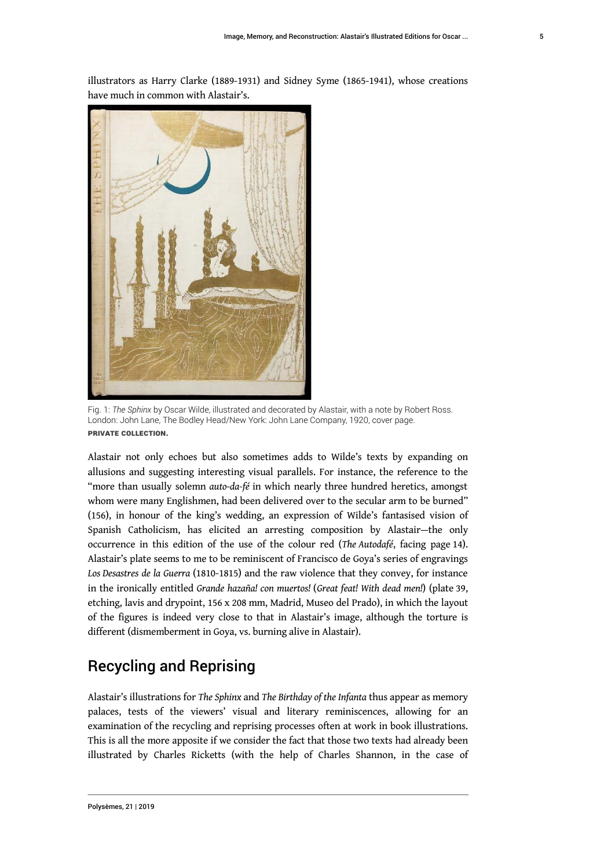illustrators as Harry Clarke (1889-1931) and Sidney Syme (1865-1941), whose creations have much in common with Alastair's.



Fig. 1: *The Sphinx* by Oscar Wilde, illustrated and decorated by Alastair, with a note by Robert Ross. London: John Lane, The Bodley Head/New York: John Lane Company, 1920, cover page. Private collection.

Alastair not only echoes but also sometimes adds to Wilde's texts by expanding on allusions and suggesting interesting visual parallels. For instance, the reference to the "more than usually solemn *auto-da-fé* in which nearly three hundred heretics, amongst whom were many Englishmen, had been delivered over to the secular arm to be burned" (156), in honour of the king's wedding, an expression of Wilde's fantasised vision of Spanish Catholicism, has elicited an arresting composition by Alastair—the only occurrence in this edition of the use of the colour red (*The Autodafé*, facing page 14). Alastair's plate seems to me to be reminiscent of Francisco de Goya's series of engravings *Los Desastres de la Guerra* (1810-1815) and the raw violence that they convey, for instance in the ironically entitled *Grande hazaña! con muertos!* (*Great feat! With dead men!*) (plate 39, etching, lavis and drypoint, 156 x 208 mm, Madrid, Museo del Prado), in which the layout of the figures is indeed very close to that in Alastair's image, although the torture is different (dismemberment in Goya, vs. burning alive in Alastair).

# Recycling and Reprising

Alastair's illustrations for *The Sphinx* and *The Birthday of the Infanta* thus appear as memory palaces, tests of the viewers' visual and literary reminiscences, allowing for an examination of the recycling and reprising processes often at work in book illustrations. This is all the more apposite if we consider the fact that those two texts had already been illustrated by Charles Ricketts (with the help of Charles Shannon, in the case of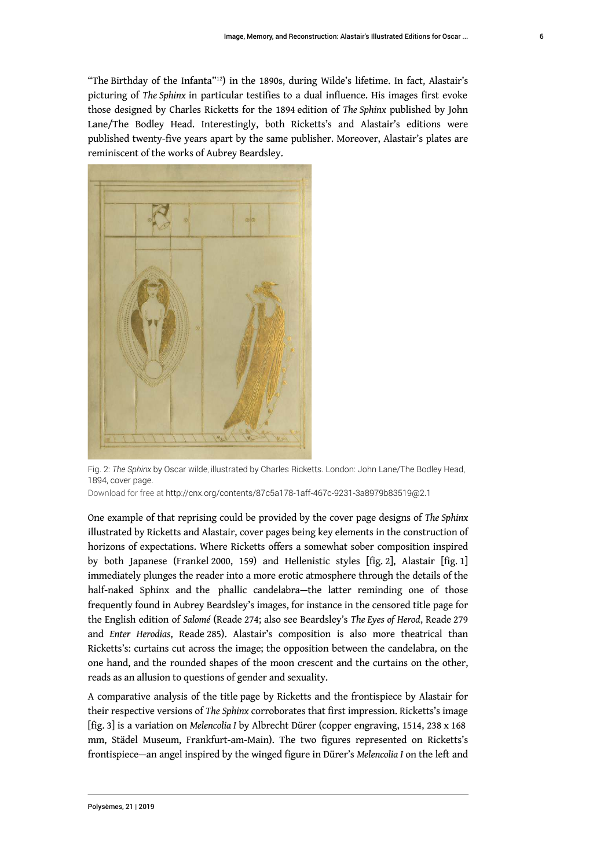<span id="page-6-0"></span>"The Birthday of the Infanta"[12](#page-18-3)) in the 1890s, during Wilde's lifetime. In fact, Alastair's picturing of *The Sphinx* in particular testifies to a dual influence. His images first evoke those designed by Charles Ricketts for the 1894 edition of *The Sphinx* published by John Lane/The Bodley Head. Interestingly, both Ricketts's and Alastair's editions were published twenty-five years apart by the same publisher. Moreover, Alastair's plates are reminiscent of the works of Aubrey Beardsley.



Fig. 2: *The Sphinx* by Oscar Wilde, illustrated by Charles Ricketts. London: John Lane/The Bodley Head, 1894, cover page.

Download for free at <http://cnx.org/contents/87c5a178-1aff-467c-9231-3a8979b83519@2.1>

One example of that reprising could be provided by the cover page designs of *The Sphinx* illustrated by Ricketts and Alastair, cover pages being key elements in the construction of horizons of expectations. Where Ricketts offers a somewhat sober composition inspired by both Japanese (Frankel 2000, 159) and Hellenistic styles [fig. 2], Alastair [fig. 1] immediately plunges the reader into a more erotic atmosphere through the details of the half-naked Sphinx and the phallic candelabra—the latter reminding one of those frequently found in Aubrey Beardsley's images, for instance in the censored title page for the English edition of *Salomé* (Reade 274; also see Beardsley's *The Eyes of Herod*, Reade 279 and *Enter Herodias*, Reade 285). Alastair's composition is also more theatrical than Ricketts's: curtains cut across the image; the opposition between the candelabra, on the one hand, and the rounded shapes of the moon crescent and the curtains on the other, reads as an allusion to questions of gender and sexuality.

A comparative analysis of the title page by Ricketts and the frontispiece by Alastair for their respective versions of *The Sphinx* corroborates that first impression. Ricketts's image [fig. 3] is a variation on *Melencolia I* by Albrecht Dürer (copper engraving, 1514, 238 x 168 mm, Städel Museum, Frankfurt-am-Main). The two figures represented on Ricketts's frontispiece—an angel inspired by the winged figure in Dürer's *Melencolia I* on the left and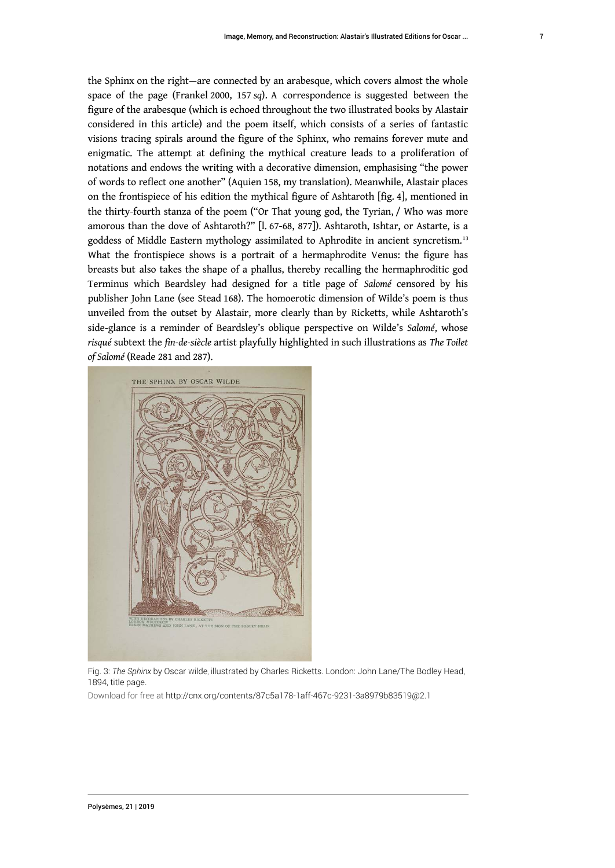the Sphinx on the right—are connected by an arabesque, which covers almost the whole space of the page (Frankel 2000, 157 *sq*). A correspondence is suggested between the figure of the arabesque (which is echoed throughout the two illustrated books by Alastair considered in this article) and the poem itself, which consists of a series of fantastic visions tracing spirals around the figure of the Sphinx, who remains forever mute and enigmatic. The attempt at defining the mythical creature leads to a proliferation of notations and endows the writing with a decorative dimension, emphasising "the power of words to reflect one another" (Aquien 158, my translation). Meanwhile, Alastair places on the frontispiece of his edition the mythical figure of Ashtaroth [fig. 4], mentioned in the thirty-fourth stanza of the poem ("Or That young god, the Tyrian, / Who was more amorous than the dove of Ashtaroth?" [l. 67-68, 877]). Ashtaroth, Ishtar, or Astarte, is a goddess of Middle Eastern mythology assimilated to Aphrodite in ancient syncretism.[13](#page-18-4) What the frontispiece shows is a portrait of a hermaphrodite Venus: the figure has breasts but also takes the shape of a phallus, thereby recalling the hermaphroditic god Terminus which Beardsley had designed for a title page of *Salomé* censored by his publisher John Lane (see Stead 168). The homoerotic dimension of Wilde's poem is thus unveiled from the outset by Alastair, more clearly than by Ricketts, while Ashtaroth's side-glance is a reminder of Beardsley's oblique perspective on Wilde's *Salomé*, whose *risqué* subtext the *fin-de-siècle* artist playfully highlighted in such illustrations as *The Toilet of Salomé* (Reade 281 and 287).

<span id="page-7-0"></span>

Fig. 3: *The Sphinx* by Oscar Wilde, illustrated by Charles Ricketts. London: John Lane/The Bodley Head, 1894, title page.

Download for free at <http://cnx.org/contents/87c5a178-1aff-467c-9231-3a8979b83519@2.1>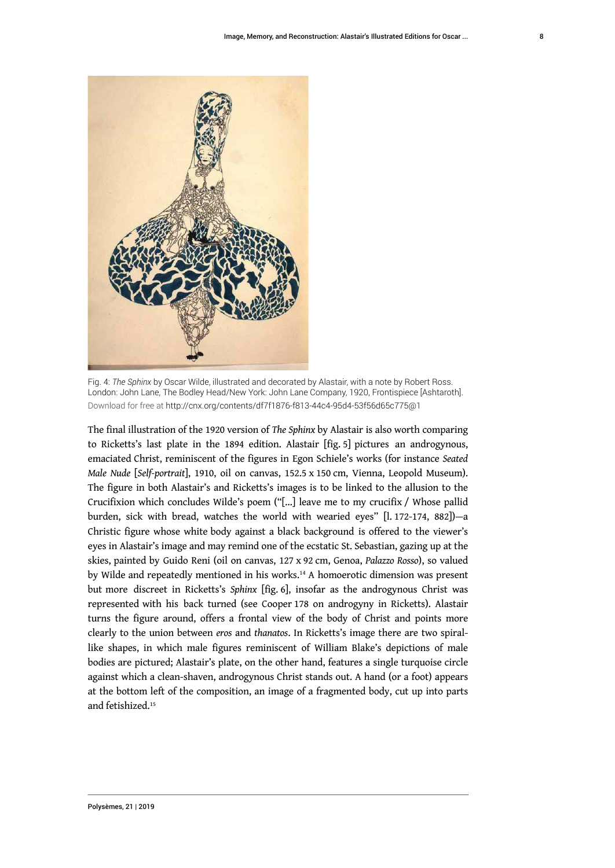

Fig. 4: *The Sphinx* by Oscar Wilde, illustrated and decorated by Alastair, with a note by Robert Ross. London: John Lane, The Bodley Head/New York: John Lane Company, 1920, Frontispiece [Ashtaroth]. Download for free at <http://cnx.org/contents/df7f1876-f813-44c4-95d4-53f56d65c775@1>

<span id="page-8-1"></span><span id="page-8-0"></span>The final illustration of the 1920 version of *The Sphinx* by Alastair is also worth comparing to Ricketts's last plate in the 1894 edition. Alastair [fig. 5] pictures an androgynous, emaciated Christ, reminiscent of the figures in Egon Schiele's works (for instance *Seated Male Nude* [*Self-portrait*], 1910, oil on canvas, 152.5 x 150 cm, Vienna, Leopold Museum). The figure in both Alastair's and Ricketts's images is to be linked to the allusion to the Crucifixion which concludes Wilde's poem ("[...] leave me to my crucifix / Whose pallid burden, sick with bread, watches the world with wearied eyes" [l. 172-174, 882])—a Christic figure whose white body against a black background is offered to the viewer's eyes in Alastair's image and may remind one of the ecstatic St. Sebastian, gazing up at the skies, painted by Guido Reni (oil on canvas, 127 x 92 cm, Genoa, *Palazzo Rosso*), so valued by Wilde and repeatedly mentioned in his works.[14](#page-18-5) A homoerotic dimension was present but more discreet in Ricketts's *Sphinx* [fig. 6], insofar as the androgynous Christ was represented with his back turned (see Cooper 178 on androgyny in Ricketts). Alastair turns the figure around, offers a frontal view of the body of Christ and points more clearly to the union between *eros* and *thanatos*. In Ricketts's image there are two spirallike shapes, in which male figures reminiscent of William Blake's depictions of male bodies are pictured; Alastair's plate, on the other hand, features a single turquoise circle against which a clean-shaven, androgynous Christ stands out. A hand (or a foot) appears at the bottom left of the composition, an image of a fragmented body, cut up into parts and fetishized.[15](#page-18-6)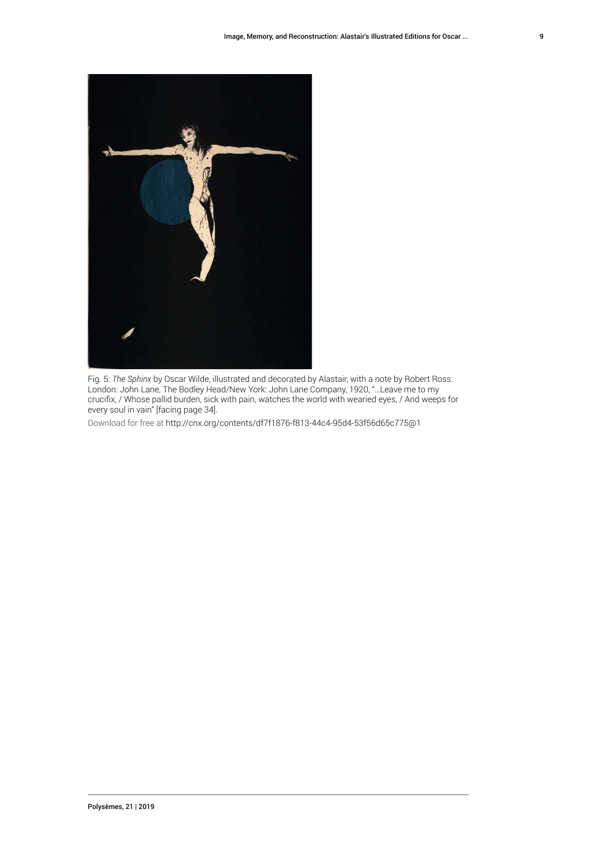

Fig. 5: *The Sphinx* by Oscar Wilde, illustrated and decorated by Alastair, with a note by Robert Ross. London: John Lane, The Bodley Head/New York: John Lane Company, 1920, "…Leave me to my crucifix, / Whose pallid burden, sick with pain, watches the world with wearied eyes, / And weeps for every soul in vain" [facing page 34].

Download for free at <http://cnx.org/contents/df7f1876-f813-44c4-95d4-53f56d65c775@1>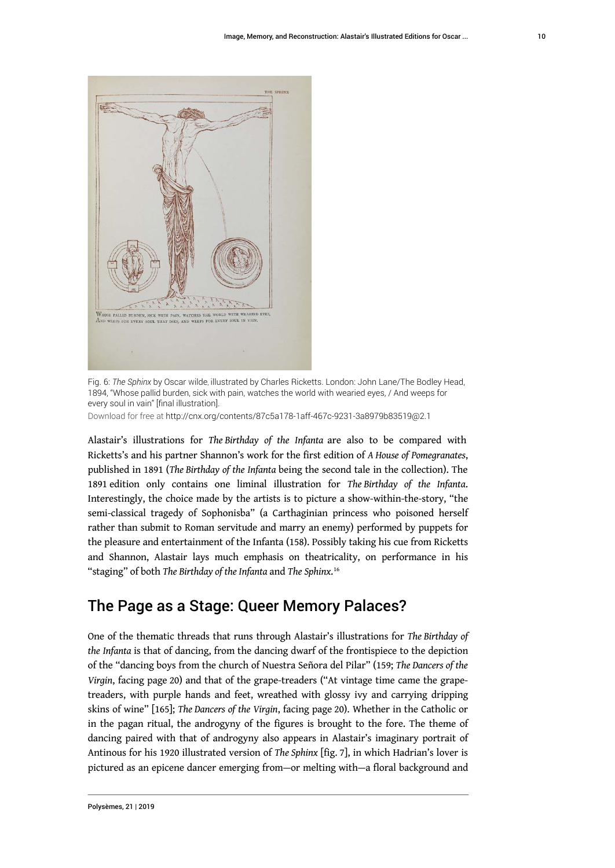

Fig. 6: *The Sphinx* by Oscar Wilde, illustrated by Charles Ricketts. London: John Lane/The Bodley Head, 1894, "Whose pallid burden, sick with pain, watches the world with wearied eyes, / And weeps for every soul in vain" [final illustration].

Download for free at <http://cnx.org/contents/87c5a178-1aff-467c-9231-3a8979b83519@2.1>

Alastair's illustrations for *The Birthday of the Infanta* are also to be compared with Ricketts's and his partner Shannon's work for the first edition of *A House of Pomegranates*, published in 1891 (*The Birthday of the Infanta* being the second tale in the collection). The 1891 edition only contains one liminal illustration for *The Birthday of the Infanta*. Interestingly, the choice made by the artists is to picture a show-within-the-story, "the semi-classical tragedy of Sophonisba" (a Carthaginian princess who poisoned herself rather than submit to Roman servitude and marry an enemy) performed by puppets for the pleasure and entertainment of the Infanta (158). Possibly taking his cue from Ricketts and Shannon, Alastair lays much emphasis on theatricality, on performance in his "staging" of both *The Birthday of the Infanta* and *The Sphinx*. [16](#page-18-7)

## <span id="page-10-0"></span>The Page as a Stage: Queer Memory Palaces?

One of the thematic threads that runs through Alastair's illustrations for *The Birthday of the Infanta* is that of dancing, from the dancing dwarf of the frontispiece to the depiction of the "dancing boys from the church of Nuestra Señora del Pilar" (159; *The Dancers of the Virgin*, facing page 20) and that of the grape-treaders ("At vintage time came the grapetreaders, with purple hands and feet, wreathed with glossy ivy and carrying dripping skins of wine" [165]; *The Dancers of the Virgin*, facing page 20). Whether in the Catholic or in the pagan ritual, the androgyny of the figures is brought to the fore. The theme of dancing paired with that of androgyny also appears in Alastair's imaginary portrait of Antinous for his 1920 illustrated version of *The Sphinx* [fig. 7], in which Hadrian's lover is pictured as an epicene dancer emerging from—or melting with—a floral background and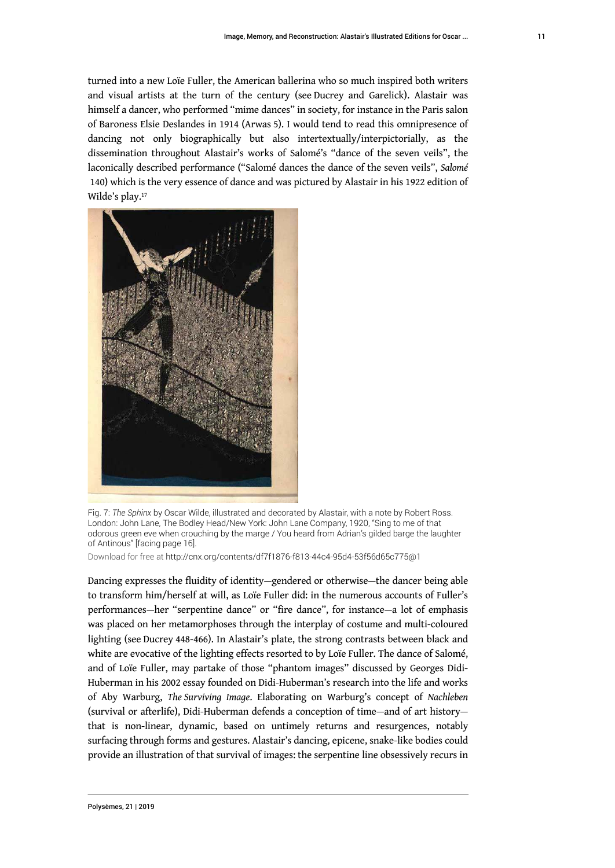turned into a new Loïe Fuller, the American ballerina who so much inspired both writers and visual artists at the turn of the century (see Ducrey and Garelick). Alastair was himself a dancer, who performed "mime dances" in society, for instance in the Paris salon of Baroness Elsie Deslandes in 1914 (Arwas 5). I would tend to read this omnipresence of dancing not only biographically but also intertextually/interpictorially, as the dissemination throughout Alastair's works of Salomé's "dance of the seven veils", the laconically described performance ("Salomé dances the dance of the seven veils", *Salomé* 140) which is the very essence of dance and was pictured by Alastair in his 1922 edition of Wilde's play.<sup>[17](#page-18-8)</sup>

<span id="page-11-0"></span>

Fig. 7: *The Sphinx* by Oscar Wilde, illustrated and decorated by Alastair, with a note by Robert Ross. London: John Lane, The Bodley Head/New York: John Lane Company, 1920, "Sing to me of that odorous green eve when crouching by the marge / You heard from Adrian's gilded barge the laughter of Antinous" [facing page 16].

Download for free at <http://cnx.org/contents/df7f1876-f813-44c4-95d4-53f56d65c775@1>

Dancing expresses the fluidity of identity—gendered or otherwise—the dancer being able to transform him/herself at will, as Loïe Fuller did: in the numerous accounts of Fuller's performances—her "serpentine dance" or "fire dance", for instance—a lot of emphasis was placed on her metamorphoses through the interplay of costume and multi-coloured lighting (see Ducrey 448-466). In Alastair's plate, the strong contrasts between black and white are evocative of the lighting effects resorted to by Loïe Fuller. The dance of Salomé, and of Loïe Fuller, may partake of those "phantom images" discussed by Georges Didi-Huberman in his 2002 essay founded on Didi-Huberman's research into the life and works of Aby Warburg, *The Surviving Image*. Elaborating on Warburg's concept of *Nachleben* (survival or afterlife), Didi-Huberman defends a conception of time—and of art history that is non-linear, dynamic, based on untimely returns and resurgences, notably surfacing through forms and gestures. Alastair's dancing, epicene, snake-like bodies could provide an illustration of that survival of images: the serpentine line obsessively recurs in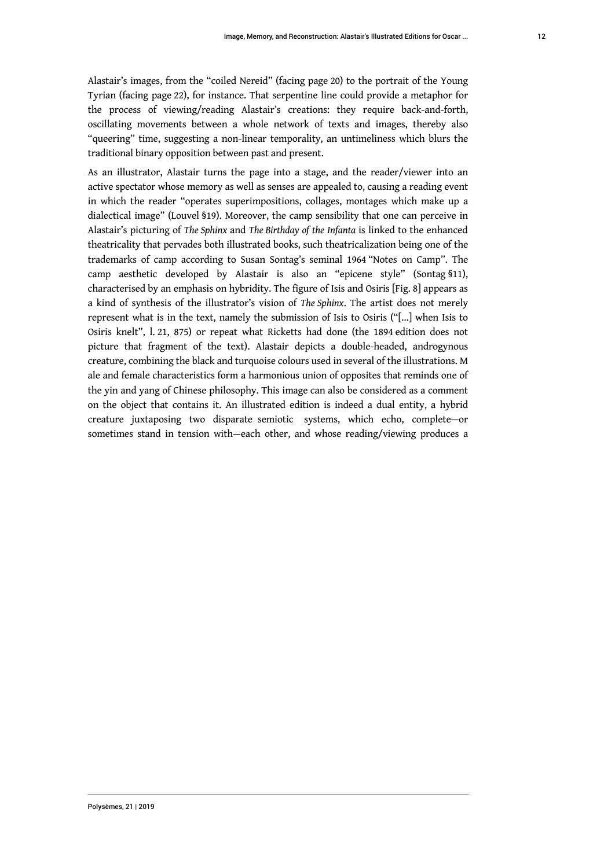Alastair's images, from the "coiled Nereid" (facing page 20) to the portrait of the Young Tyrian (facing page 22), for instance. That serpentine line could provide a metaphor for the process of viewing/reading Alastair's creations: they require back-and-forth, oscillating movements between a whole network of texts and images, thereby also "queering" time, suggesting a non-linear temporality, an untimeliness which blurs the traditional binary opposition between past and present.

As an illustrator, Alastair turns the page into a stage, and the reader/viewer into an active spectator whose memory as well as senses are appealed to, causing a reading event in which the reader "operates superimpositions, collages, montages which make up a dialectical image" (Louvel §19). Moreover, the camp sensibility that one can perceive in Alastair's picturing of *The Sphinx* and *The Birthday of the Infanta* is linked to the enhanced theatricality that pervades both illustrated books, such theatricalization being one of the trademarks of camp according to Susan Sontag's seminal 1964 "Notes on Camp". The camp aesthetic developed by Alastair is also an "epicene style" (Sontag §11), characterised by an emphasis on hybridity. The figure of Isis and Osiris [Fig. 8] appears as a kind of synthesis of the illustrator's vision of *The Sphinx*. The artist does not merely represent what is in the text, namely the submission of Isis to Osiris ("[...] when Isis to Osiris knelt", l. 21, 875) or repeat what Ricketts had done (the 1894 edition does not picture that fragment of the text). Alastair depicts a double-headed, androgynous creature, combining the black and turquoise colours used in several of the illustrations. M ale and female characteristics form a harmonious union of opposites that reminds one of the yin and yang of Chinese philosophy. This image can also be considered as a comment on the object that contains it. An illustrated edition is indeed a dual entity, a hybrid creature juxtaposing two disparate semiotic systems, which echo, complete—or sometimes stand in tension with—each other, and whose reading/viewing produces a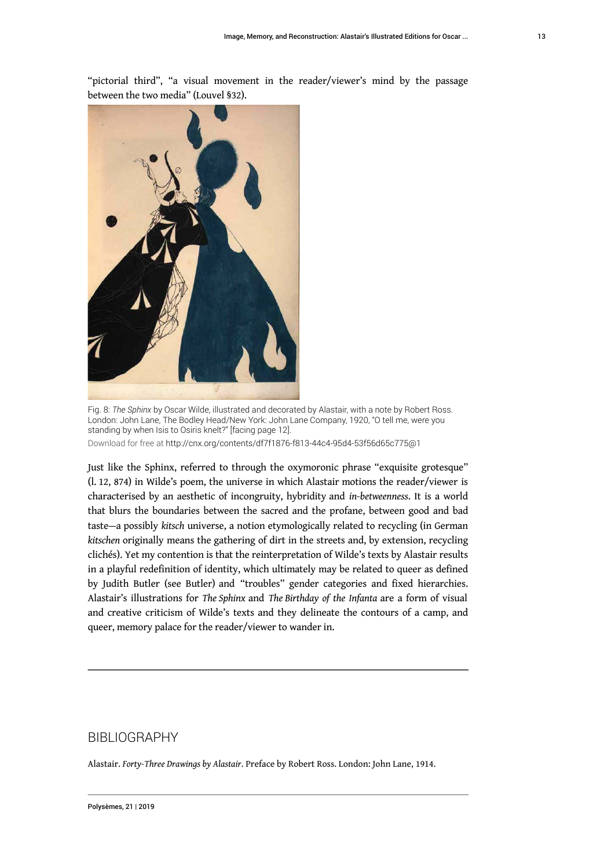

"pictorial third", "a visual movement in the reader/viewer's mind by the passage between the two media" (Louvel §32).

Fig. 8: *The Sphinx* by Oscar Wilde, illustrated and decorated by Alastair, with a note by Robert Ross. London: John Lane, The Bodley Head/New York: John Lane Company, 1920, "O tell me, were you standing by when Isis to Osiris knelt?" [facing page 12]. Download for free at <http://cnx.org/contents/df7f1876-f813-44c4-95d4-53f56d65c775@1>

Just like the Sphinx, referred to through the oxymoronic phrase "exquisite grotesque" (l. 12, 874) in Wilde's poem, the universe in which Alastair motions the reader/viewer is characterised by an aesthetic of incongruity, hybridity and *in-betweenness*. It is a world that blurs the boundaries between the sacred and the profane, between good and bad taste—a possibly *kitsch* universe, a notion etymologically related to recycling (in German *kitschen* originally means the gathering of dirt in the streets and, by extension, recycling clichés). Yet my contention is that the reinterpretation of Wilde's texts by Alastair results in a playful redefinition of identity, which ultimately may be related to queer as defined by Judith Butler (see Butler) and "troubles" gender categories and fixed hierarchies. Alastair's illustrations for *The Sphinx* and *The Birthday of the Infanta* are a form of visual and creative criticism of Wilde's texts and they delineate the contours of a camp, and queer, memory palace for the reader/viewer to wander in.

## BIBLIOGRAPHY

Alastair. *Forty-Three Drawings by Alastair*. Preface by Robert Ross. London: John Lane, 1914.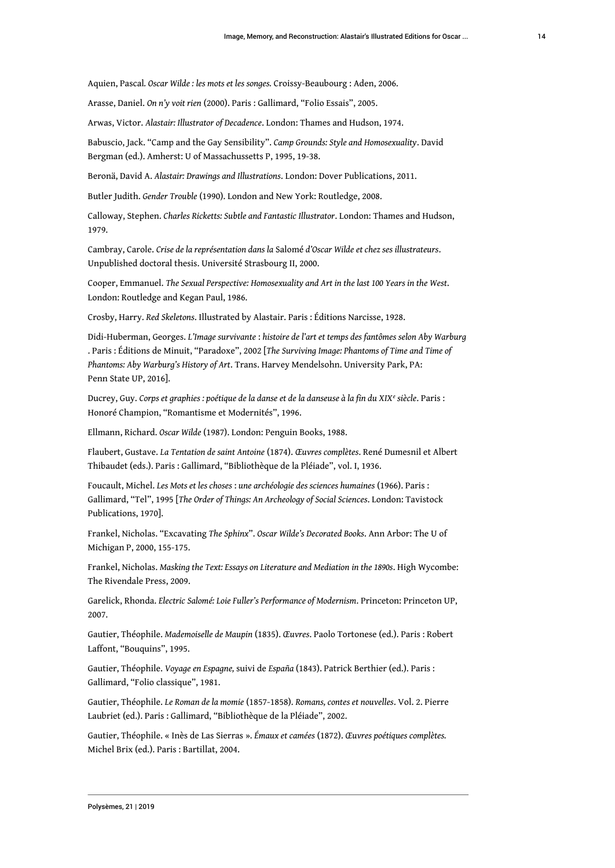Aquien, Pascal*. Oscar Wilde : les mots et les songes.* Croissy-Beaubourg : Aden, 2006.

Arasse, Daniel. *On n'y voit rien* (2000). Paris : Gallimard, "Folio Essais", 2005.

Arwas, Victor. *Alastair: Illustrator of Decadence*. London: Thames and Hudson, 1974.

Babuscio, Jack. "Camp and the Gay Sensibility". *Camp Grounds: Style and Homosexuality*. David Bergman (ed.). Amherst: U of Massachussetts P, 1995, 19-38.

Beronä, David A. *Alastair: Drawings and Illustrations*. London: Dover Publications, 2011.

Butler Judith. *Gender Trouble* (1990). London and New York: Routledge, 2008.

Calloway, Stephen. *Charles Ricketts: Subtle and Fantastic Illustrator*. London: Thames and Hudson, 1979.

Cambray, Carole. *Crise de la représentation dans la* Salomé *d'Oscar Wilde et chez ses illustrateurs*. Unpublished doctoral thesis. Université Strasbourg II, 2000.

Cooper, Emmanuel. *The Sexual Perspective: Homosexuality and Art in the last 100 Years in the West*. London: Routledge and Kegan Paul, 1986.

Crosby, Harry. *Red Skeletons*. Illustrated by Alastair. Paris : Éditions Narcisse, 1928.

Didi-Huberman, Georges. *L'Image survivante* : *histoire de l'art et temps des fantômes selon Aby Warburg* . Paris : Éditions de Minuit, "Paradoxe", 2002 [*The Surviving Image: Phantoms of Time and Time of Phantoms: Aby Warburg's History of Art*. Trans. Harvey Mendelsohn. University Park, PA: Penn State UP, 2016].

Ducrey, Guy. *Corps et graphies : poétique de la danse et de la danseuse à la fin du XIX<sup>e</sup> siècle*. Paris : Honoré Champion, "Romantisme et Modernités", 1996.

Ellmann, Richard. *Oscar Wilde* (1987). London: Penguin Books, 1988.

Flaubert, Gustave. *La Tentation de saint Antoine* (1874). *Œuvres complètes*. René Dumesnil et Albert Thibaudet (eds.). Paris : Gallimard, "Bibliothèque de la Pléiade", vol. I, 1936.

Foucault, Michel. *Les Mots et les choses* : *une archéologie des sciences humaines* (1966). Paris : Gallimard, "Tel", 1995 [*The Order of Things: An Archeology of Social Sciences*. London: Tavistock Publications, 1970].

Frankel, Nicholas. "Excavating *The Sphinx*". *Oscar Wilde's Decorated Books*. Ann Arbor: The U of Michigan P, 2000, 155-175.

Frankel, Nicholas. *Masking the Text: Essays on Literature and Mediation in the 1890s*. High Wycombe: The Rivendale Press, 2009.

Garelick, Rhonda. *Electric Salomé: Loie Fuller's Performance of Modernism*. Princeton: Princeton UP, 2007.

Gautier, Théophile. *Mademoiselle de Maupin* (1835). *Œuvres*. Paolo Tortonese (ed.). Paris : Robert Laffont, "Bouquins", 1995.

Gautier, Théophile. *Voyage en Espagne,* suivi de *España* (1843). Patrick Berthier (ed.). Paris : Gallimard, "Folio classique", 1981.

Gautier, Théophile. *Le Roman de la momie* (1857-1858). *Romans, contes et nouvelles*. Vol. 2. Pierre Laubriet (ed.). Paris : Gallimard, "Bibliothèque de la Pléiade", 2002.

Gautier, Théophile. « Inès de Las Sierras ». *Émaux et camées* (1872). *Œuvres poétiques complètes.*  Michel Brix (ed.). Paris : Bartillat, 2004.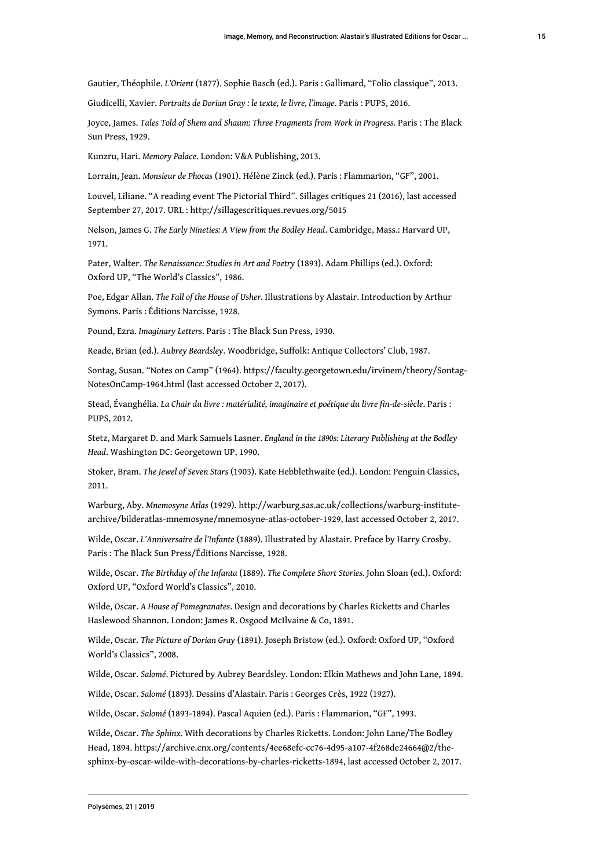Gautier, Théophile. *L'Orient* (1877). Sophie Basch (ed.). Paris : Gallimard, "Folio classique", 2013.

Giudicelli, Xavier. *Portraits de Dorian Gray : le texte, le livre, l'image*. Paris : PUPS, 2016.

Joyce, James. *Tales Told of Shem and Shaum: Three Fragments from Work in Progress*. Paris : The Black Sun Press, 1929.

Kunzru, Hari. *Memory Palace*. London: V&A Publishing, 2013.

Lorrain, Jean. *Monsieur de Phocas* (1901). Hélène Zinck (ed.). Paris : Flammarion, "GF", 2001.

Louvel, Liliane. "A reading event The Pictorial Third". Sillages critiques 21 (2016), last accessed September 27, 2017. URL :<http://sillagescritiques.revues.org/5015>

Nelson, James G. *The Early Nineties: A View from the Bodley Head*. Cambridge, Mass.: Harvard UP, 1971.

Pater, Walter. *The Renaissance: Studies in Art and Poetry* (1893). Adam Phillips (ed.). Oxford: Oxford UP, "The World's Classics", 1986.

Poe, Edgar Allan. *The Fall of the House of Usher.* Illustrations by Alastair. Introduction by Arthur Symons. Paris : Éditions Narcisse, 1928.

Pound, Ezra. *Imaginary Letters*. Paris : The Black Sun Press, 1930.

Reade, Brian (ed.). *Aubrey Beardsley*. Woodbridge, Suffolk: Antique Collectors' Club, 1987.

Sontag, Susan. "Notes on Camp" (1964). [https://faculty.georgetown.edu/irvinem/theory/Sontag-](https://faculty.georgetown.edu/irvinem/theory/Sontag-NotesOnCamp-1964.html)[NotesOnCamp-1964.html](https://faculty.georgetown.edu/irvinem/theory/Sontag-NotesOnCamp-1964.html) (last accessed October 2, 2017).

Stead, Évanghélia. *La Chair du livre : matérialité, imaginaire et poétique du livre fin-de-siècle*. Paris : PUPS, 2012.

Stetz, Margaret D. and Mark Samuels Lasner. *England in the 1890s: Literary Publishing at the Bodley Head*. Washington DC: Georgetown UP, 1990.

Stoker, Bram. *The Jewel of Seven Stars* (1903). Kate Hebblethwaite (ed.). London: Penguin Classics, 2011.

Warburg, Aby. *Mnemosyne Atlas* (1929). [http://warburg.sas.ac.uk/collections/warburg-institute](http://warburg.sas.ac.uk/collections/warburg-institute-archive/bilderatlas-mnemosyne/mnemosyne-atlas-october-1929)[archive/bilderatlas-mnemosyne/mnemosyne-atlas-october-1929,](http://warburg.sas.ac.uk/collections/warburg-institute-archive/bilderatlas-mnemosyne/mnemosyne-atlas-october-1929) last accessed October 2, 2017.

Wilde, Oscar. *L'Anniversaire de l'Infante* (1889). Illustrated by Alastair. Preface by Harry Crosby. Paris : The Black Sun Press/Éditions Narcisse, 1928.

Wilde, Oscar. *The Birthday of the Infanta* (1889). *The Complete Short Stories.* John Sloan (ed.). Oxford: Oxford UP, "Oxford World's Classics", 2010.

Wilde, Oscar. *A House of Pomegranates*. Design and decorations by Charles Ricketts and Charles Haslewood Shannon. London: James R. Osgood McIlvaine & Co, 1891.

Wilde, Oscar. *The Picture of Dorian Gray* (1891). Joseph Bristow (ed.). Oxford: Oxford UP, "Oxford World's Classics", 2008.

Wilde, Oscar. *Salomé*. Pictured by Aubrey Beardsley. London: Elkin Mathews and John Lane, 1894.

Wilde, Oscar. *Salomé* (1893). Dessins d'Alastair. Paris : Georges Crès, 1922 (1927).

Wilde, Oscar. *Salomé* (1893-1894). Pascal Aquien (ed.). Paris : Flammarion, "GF", 1993.

Wilde, Oscar. *The Sphinx*. With decorations by Charles Ricketts. London: John Lane/The Bodley Head, 1894. [https://archive.cnx.org/contents/4ee68efc-cc76-4d95-a107-4f268de24664@2/the](https://archive.cnx.org/contents/4ee68efc-cc76-4d95-a107-4f268de24664@2/the-sphinx-by-oscar-wilde-with-decorations-by-charles-ricketts-1894)[sphinx-by-oscar-wilde-with-decorations-by-charles-ricketts-1894,](https://archive.cnx.org/contents/4ee68efc-cc76-4d95-a107-4f268de24664@2/the-sphinx-by-oscar-wilde-with-decorations-by-charles-ricketts-1894) last accessed October 2, 2017.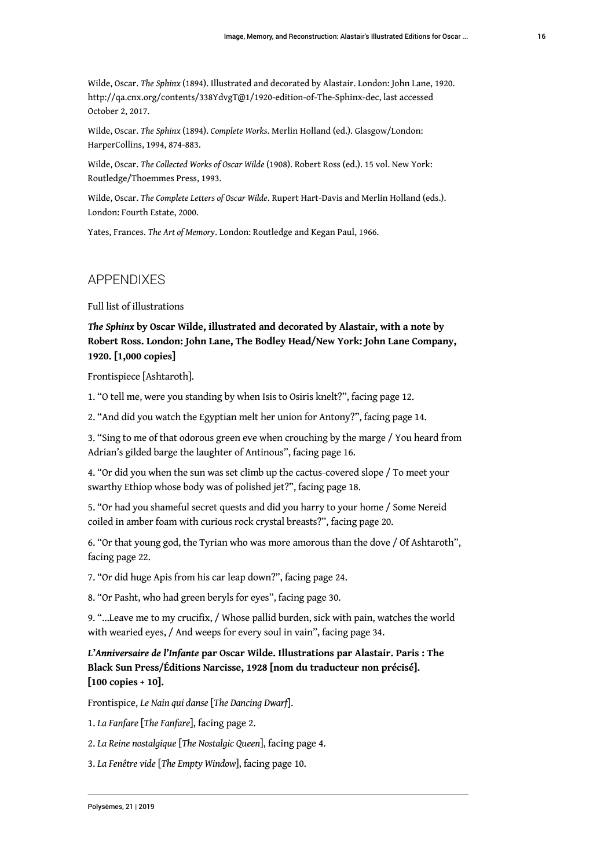Wilde, Oscar. *The Sphinx* (1894). Illustrated and decorated by Alastair. London: John Lane, 1920. <http://qa.cnx.org/contents/338YdvgT@1/1920-edition-of-The-Sphinx-dec>, last accessed October 2, 2017.

Wilde, Oscar. *The Sphinx* (1894). *Complete Works*. Merlin Holland (ed.). Glasgow/London: HarperCollins, 1994, 874-883.

Wilde, Oscar. *The Collected Works of Oscar Wilde* (1908). Robert Ross (ed.). 15 vol. New York: Routledge/Thoemmes Press, 1993.

Wilde, Oscar. *The Complete Letters of Oscar Wilde*. Rupert Hart-Davis and Merlin Holland (eds.). London: Fourth Estate, 2000.

Yates, Frances. *The Art of Memory*. London: Routledge and Kegan Paul, 1966.

## APPENDIXES

Full list of illustrations

*The Sphinx* **by Oscar Wilde, illustrated and decorated by Alastair, with a note by Robert Ross. London: John Lane, The Bodley Head/New York: John Lane Company, 1920. [1,000 copies]**

Frontispiece [Ashtaroth].

1. "O tell me, were you standing by when Isis to Osiris knelt?", facing page 12.

2. "And did you watch the Egyptian melt her union for Antony?", facing page 14.

3. "Sing to me of that odorous green eve when crouching by the marge / You heard from Adrian's gilded barge the laughter of Antinous", facing page 16.

4. "Or did you when the sun was set climb up the cactus-covered slope / To meet your swarthy Ethiop whose body was of polished jet?", facing page 18.

5. "Or had you shameful secret quests and did you harry to your home / Some Nereid coiled in amber foam with curious rock crystal breasts?", facing page 20.

6. "Or that young god, the Tyrian who was more amorous than the dove / Of Ashtaroth", facing page 22.

7. "Or did huge Apis from his car leap down?", facing page 24.

8. "Or Pasht, who had green beryls for eyes", facing page 30.

9. "…Leave me to my crucifix, / Whose pallid burden, sick with pain, watches the world with wearied eyes, / And weeps for every soul in vain", facing page 34.

*L'Anniversaire de l'Infante* **par Oscar Wilde. Illustrations par Alastair. Paris : The Black Sun Press/Éditions Narcisse, 1928 [nom du traducteur non précisé]. [100 copies + 10].**

Frontispice, *Le Nain qui danse* [*The Dancing Dwarf*].

1. *La Fanfare* [*The Fanfare*], facing page 2.

2. *La Reine nostalgique* [*The Nostalgic Queen*], facing page 4.

3. *La Fenêtre vide* [*The Empty Window*], facing page 10.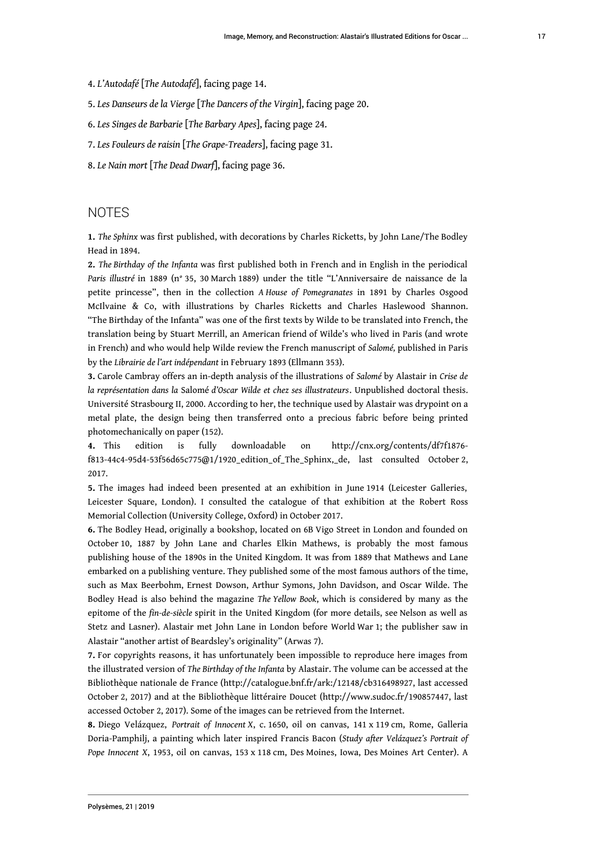- 4. *L'Autodafé* [*The Autodafé*], facing page 14.
- 5. *Les Danseurs de la Vierge* [*The Dancers of the Virgin*], facing page 20.
- 6. *Les Singes de Barbarie* [*The Barbary Apes*], facing page 24.
- 7. *Les Fouleurs de raisin* [*The Grape-Treaders*], facing page 31.
- 8. *Le Nain mort* [*The Dead Dwarf*], facing page 36.

## **NOTES**

<span id="page-17-0"></span>**[1.](#page-2-0)** *The Sphinx* was first published, with decorations by Charles Ricketts, by John Lane/The Bodley Head in 1894.

<span id="page-17-1"></span>**[2.](#page-2-1)** *The Birthday of the Infanta* was first published both in French and in English in the periodical *Paris illustré* in 1889 (n° 35, 30 March 1889) under the title "L'Anniversaire de naissance de la petite princesse", then in the collection *A House of Pomegranates* in 1891 by Charles Osgood McIlvaine & Co, with illustrations by Charles Ricketts and Charles Haslewood Shannon. "The Birthday of the Infanta" was one of the first texts by Wilde to be translated into French, the translation being by Stuart Merrill, an American friend of Wilde's who lived in Paris (and wrote in French) and who would help Wilde review the French manuscript of *Salomé,* published in Paris by the *Librairie de l'art indépendant* in February 1893 (Ellmann 353).

<span id="page-17-2"></span>**[3.](#page-2-2)** Carole Cambray offers an in-depth analysis of the illustrations of *Salomé* by Alastair in *Crise de la représentation dans la* Salomé *d'Oscar Wilde et chez ses illustrateurs*. Unpublished doctoral thesis. Université Strasbourg II, 2000. According to her, the technique used by Alastair was drypoint on a metal plate, the design being then transferred onto a precious fabric before being printed photomechanically on paper (152).

<span id="page-17-3"></span>**[4.](#page-2-3)** This edition is fully downloadable on [http://cnx.org/contents/df7f1876](http://cnx.org/contents/df7f1876-f813-44c4-95d4-53f56d65c775@1/1920_edition_of_The_Sphinx,_de) [f813-44c4-95d4-53f56d65c775@1/1920\\_edition\\_of\\_The\\_Sphinx,\\_de,](http://cnx.org/contents/df7f1876-f813-44c4-95d4-53f56d65c775@1/1920_edition_of_The_Sphinx,_de) last consulted October 2, 2017.

<span id="page-17-4"></span>**[5.](#page-2-4)** The images had indeed been presented at an exhibition in June 1914 (Leicester Galleries, Leicester Square, London). I consulted the catalogue of that exhibition at the Robert Ross Memorial Collection (University College, Oxford) in October 2017.

<span id="page-17-5"></span>**[6.](#page-2-5)** The Bodley Head, originally a bookshop, located on 6B Vigo Street in London and founded on October 10, 1887 by John Lane and Charles Elkin Mathews, is probably the most famous publishing house of the 1890s in the United Kingdom. It was from 1889 that Mathews and Lane embarked on a publishing venture. They published some of the most famous authors of the time, such as Max Beerbohm, Ernest Dowson, Arthur Symons, John Davidson, and Oscar Wilde. The Bodley Head is also behind the magazine *The Yellow Book*, which is considered by many as the epitome of the *fin-de-siècle* spirit in the United Kingdom (for more details, see Nelson as well as Stetz and Lasner). Alastair met John Lane in London before World War 1; the publisher saw in Alastair "another artist of Beardsley's originality" (Arwas 7).

<span id="page-17-6"></span>**[7.](#page-2-6)** For copyrights reasons, it has unfortunately been impossible to reproduce here images from the illustrated version of *The Birthday of the Infanta* by Alastair. The volume can be accessed at the Bibliothèque nationale de France [\(http://catalogue.bnf.fr/ark:/12148/cb316498927,](http://catalogue.bnf.fr/ark:/12148/cb316498927) last accessed October 2, 2017) and at the Bibliothèque littéraire Doucet ([http://www.sudoc.fr/190857447,](http://www.sudoc.fr/190857447) last accessed October 2, 2017). Some of the images can be retrieved from the Internet.

<span id="page-17-7"></span>**[8.](#page-3-0)** Diego Velázquez, *Portrait of Innocent X*, c. 1650, oil on canvas, 141 x 119 cm, Rome, Galleria Doria-Pamphilj, a painting which later inspired Francis Bacon (*Study after Velázquez's Portrait of Pope Innocent X*, 1953, oil on canvas, 153 x 118 cm, Des Moines, Iowa, Des Moines Art Center). A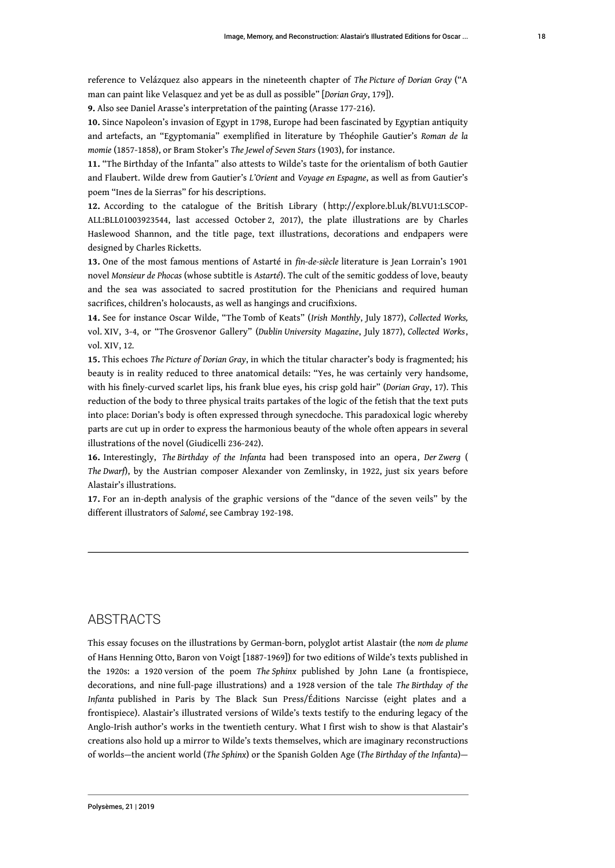reference to Velázquez also appears in the nineteenth chapter of *The Picture of Dorian Gray* ("A man can paint like Velasquez and yet be as dull as possible" [*Dorian Gray*, 179]).

<span id="page-18-0"></span>**[9.](#page-3-1)** Also see Daniel Arasse's interpretation of the painting (Arasse 177-216).

<span id="page-18-1"></span>**[10.](#page-4-0)** Since Napoleon's invasion of Egypt in 1798, Europe had been fascinated by Egyptian antiquity and artefacts, an "Egyptomania" exemplified in literature by Théophile Gautier's *Roman de la momie* (1857-1858), or Bram Stoker's *The Jewel of Seven Stars* (1903), for instance.

<span id="page-18-2"></span>**[11.](#page-4-1)** "The Birthday of the Infanta" also attests to Wilde's taste for the orientalism of both Gautier and Flaubert. Wilde drew from Gautier's *L'Orient* and *Voyage en Espagne*, as well as from Gautier's poem "Ines de la Sierras" for his descriptions.

<span id="page-18-3"></span>**[12.](#page-6-0)** According to the catalogue of the British Library ( [http://explore.bl.uk/BLVU1:LSCOP-](http://explore.bl.uk/BLVU1:LSCOP-ALL:BLL01003923544)[ALL:BLL01003923544,](http://explore.bl.uk/BLVU1:LSCOP-ALL:BLL01003923544) last accessed October 2, 2017), the plate illustrations are by Charles Haslewood Shannon, and the title page, text illustrations, decorations and endpapers were designed by Charles Ricketts.

<span id="page-18-4"></span>**[13.](#page-7-0)** One of the most famous mentions of Astarté in *fin-de-siècle* literature is Jean Lorrain's 1901 novel *Monsieur de Phocas* (whose subtitle is *Astarté*). The cult of the semitic goddess of love, beauty and the sea was associated to sacred prostitution for the Phenicians and required human sacrifices, children's holocausts, as well as hangings and crucifixions.

<span id="page-18-5"></span>**[14.](#page-8-0)** See for instance Oscar Wilde, "The Tomb of Keats" (*Irish Monthly*, July 1877), *Collected Works,* vol. XIV, 3-4, or "The Grosvenor Gallery" (*Dublin University Magazine*, July 1877), *Collected Works*, vol. XIV, 12*.*

<span id="page-18-6"></span>**[15.](#page-8-1)** This echoes *The Picture of Dorian Gray*, in which the titular character's body is fragmented; his beauty is in reality reduced to three anatomical details: "Yes, he was certainly very handsome, with his finely-curved scarlet lips, his frank blue eyes, his crisp gold hair" (*Dorian Gray*, 17). This reduction of the body to three physical traits partakes of the logic of the fetish that the text puts into place: Dorian's body is often expressed through synecdoche. This paradoxical logic whereby parts are cut up in order to express the harmonious beauty of the whole often appears in several illustrations of the novel (Giudicelli 236-242).

<span id="page-18-7"></span>**[16.](#page-10-0)** Interestingly, *The Birthday of the Infanta* had been transposed into an opera *, Der Zwerg* ( *The Dwarf*), by the Austrian composer Alexander von Zemlinsky, in 1922, just six years before Alastair's illustrations.

<span id="page-18-8"></span>**[17.](#page-11-0)** For an in-depth analysis of the graphic versions of the "dance of the seven veils" by the different illustrators of *Salomé*, see Cambray 192-198.

#### ABSTRACTS

This essay focuses on the illustrations by German-born, polyglot artist Alastair (the *nom de plume* of Hans Henning Otto, Baron von Voigt [1887-1969]) for two editions of Wilde's texts published in the 1920s: a 1920 version of the poem *The Sphinx* published by John Lane (a frontispiece, decorations, and nine full-page illustrations) and a 1928 version of the tale *The Birthday of the Infanta* published in Paris by The Black Sun Press/Éditions Narcisse (eight plates and a frontispiece). Alastair's illustrated versions of Wilde's texts testify to the enduring legacy of the Anglo-Irish author's works in the twentieth century. What I first wish to show is that Alastair's creations also hold up a mirror to Wilde's texts themselves, which are imaginary reconstructions of worlds—the ancient world (*The Sphinx*) or the Spanish Golden Age (*The Birthday of the Infanta*)—